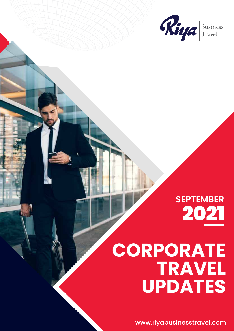

## **SEPTEMBER** 2021

# **CORPORATE TRAVEL UPDATES**

www.riyabusinesstravel.com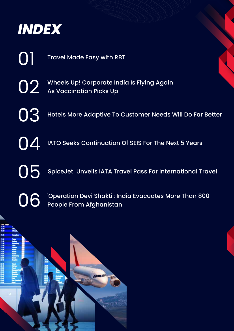

01

Travel Made Easy with RBT

Wheels Up! Corporate India Is Flying Again As Vaccination Picks Up 02

Hotels More Adaptive To Customer Needs Will Do Far Better 03

IATO Seeks Continuation Of SEIS For The Next 5 Years 04

SpiceJet Unveils IATA Travel Pass For International Travel

06

05

'Operation Devi Shakti': India Evacuates More Than 800 People From Afghanistan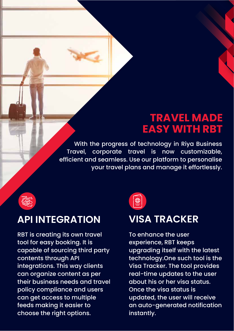#### **TRAVEL MADE EASY WITH RBT**

With the progress of technology in Riya Business Travel, corporate travel is now customizable, efficient and seamless. Use our platform to personalise your travel plans and manage it effortlessly.



#### **API INTEGRATION**

RBT is creating its own travel tool for easy booking. It is capable of sourcing third party contents through API integrations. This way clients can organize content as per their business needs and travel policy compliance and users can get access to multiple feeds making it easier to choose the right options.



#### **VISA TRACKER**

To enhance the user experience, RBT keeps upgrading itself with the latest technology.One such tool is the Visa Tracker. The tool provides real-time updates to the user about his or her visa status. Once the visa status is updated, the user will receive an auto-generated notification instantly.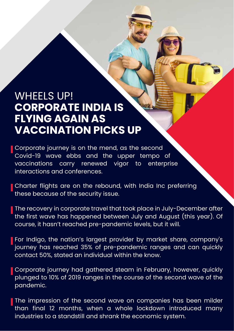#### WHEELS UP! **CORPORATE INDIA IS FLYING AGAIN AS VACCINATION PICKS UP**

Corporate journey is on the mend, as the second Covid-19 wave ebbs and the upper tempo of vaccinations carry renewed vigor to enterprise interactions and conferences.

Charter flights are on the rebound, with India Inc preferring these because of the security issue.

The recovery in corporate travel that took place in July-December after the first wave has happened between July and August (this year). Of course, it hasn't reached pre-pandemic levels, but it will.

For Indigo, the nation's largest provider by market share, company's journey has reached 35% of pre-pandemic ranges and can quickly contact 50%, stated an individual within the know.

Corporate journey had gathered steam in February, however, quickly plunged to 10% of 2019 ranges in the course of the second wave of the pandemic.

The impression of the second wave on companies has been milder than final 12 months, when a whole lockdown introduced many industries to a standstill and shrank the economic system.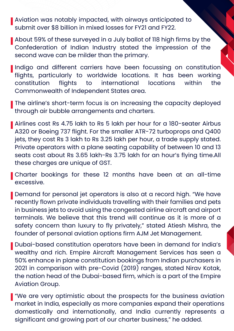Aviation was notably impacted, with airways anticipated to submit over \$8 billion in mixed losses for FY21 and FY22.

About 59% of these surveyed in a July ballot of 118 high firms by the Confederation of Indian Industry stated the impression of the second wave can be milder than the primary.

Indigo and different carriers have been focussing on constitution flights, particularly to worldwide locations. It has been working constitution flights to international locations within the Commonwealth of Independent States area.

The airline's short-term focus is on increasing the capacity deployed through air bubble arrangements and charters.

Airlines cost Rs 4.75 lakh to Rs 5 lakh per hour for a 180-seater Airbus A320 or Boeing 737 flight. For the smaller ATR-72 turboprops and Q400 jets, they cost Rs 3 lakh to Rs 3.25 lakh per hour, a trade supply stated. Private operators with a plane seating capability of between 10 and 13 seats cost about Rs 3.65 lakh-Rs 3.75 lakh for an hour's flying time.All these charges are unique of GST.

Charter bookings for these 12 months have been at an all-time excessive.

Demand for personal jet operators is also at a record high. "We have recently flown private individuals travelling with their families and pets in business jets to avoid using the congested airline aircraft and airport terminals. We believe that this trend will continue as it is more of a safety concern than luxury to fly privately," stated Atiesh Mishra, the founder of personal aviation options firm AJM Jet Management.

Dubai-based constitution operators have been in demand for India's wealthy and rich. Empire Aircraft Management Services has seen a 50% enhance in plane constitution bookings from Indian purchasers in 2021 in comparison with pre-Covid (2019) ranges, stated Nirav Kotak, the nation head of the Dubai-based firm, which is a part of the Empire Aviation Group.

We are very optimistic about the prospects for the business aviation market in India, especially as more companies expand their operations domestically and internationally, and India currently represents a significant and growing part of our charter business," he added.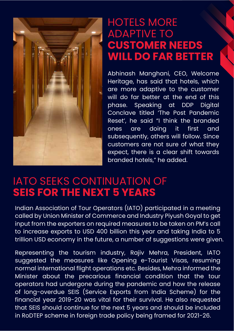

#### HOTELS MORE ADAPTIVE TO **CUSTOMER NEEDS WILL DO FAR BETTER**

Abhinash Manghani, CEO, Welcome Heritage, has said that hotels, which are more adaptive to the customer will do far better at the end of this phase. Speaking at DDP Digital Conclave titled 'The Post Pandemic Reset', he said "I think the branded ones are doing it first and subsequently, others will follow. Since customers are not sure of what they expect, there is a clear shift towards branded hotels," he added.

#### IATO SEEKS CONTINUATION OF **SEIS FOR THE NEXT 5 YEARS**

Indian Association of Tour Operators (IATO) participated in a meeting called by Union Minister of Commerce and Industry Piyush Goyal to get input from the exporters on required measures to be taken on PM's call to increase exports to USD 400 billion this year and taking India to 5 trillion USD economy in the future, a number of suggestions were given.

Representing the tourism industry, Rajiv Mehra, President, IATO suggested the measures like Opening e-Tourist Visas, resuming normal international flight operations etc. Besides, Mehra informed the Minister about the precarious financial condition that the tour operators had undergone during the pandemic and how the release of long-overdue SEIS (Service Exports from India Scheme) for the financial year 2019-20 was vital for their survival. He also requested that SEIS should continue for the next 5 years and should be included in RoDTEP scheme in foreign trade policy being framed for 2021-26.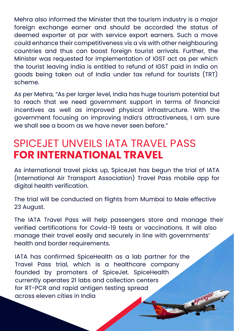Mehra also informed the Minister that the tourism industry is a major foreign exchange earner and should be accorded the status of deemed exporter at par with service export earners. Such a move could enhance their competitiveness vis a vis with other neighbouring countries and thus can boost foreign tourist arrivals. Further, the Minister was requested for implementation of IGST act as per which the tourist leaving India is entitled to refund of IGST paid in India on goods being taken out of India under tax refund for tourists (TRT) scheme.

As per Mehra, "As per larger level, India has huge tourism potential but to reach that we need government support in terms of financial incentives as well as improved physical infrastructure. With the government focusing on improving India's attractiveness, I am sure we shall see a boom as we have never seen before."

### SPICEJET UNVEILS IATA TRAVEL PASS **FOR INTERNATIONAL TRAVEL**

As international travel picks up, SpiceJet has begun the trial of IATA (International Air Transport Association) Travel Pass mobile app for digital health verification.

The trial will be conducted on flights from Mumbai to Male effective 23 August.

The IATA Travel Pass will help passengers store and manage their verified certifications for Covid-19 tests or vaccinations. It will also manage their travel easily and securely in line with governments' health and border requirements.

IATA has confirmed SpiceHealth as a lab partner for the Travel Pass trial, which is a healthcare company founded by promoters of SpiceJet. SpiceHealth currently operates 21 labs and collection centers for RT-PCR and rapid antigen testing spread across eleven cities in India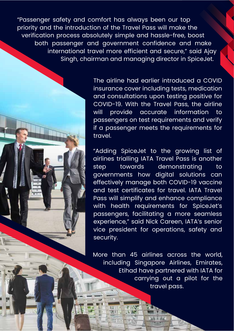"Passenger safety and comfort has always been our top priority and the introduction of the Travel Pass will make the verification process absolutely simple and hassle-free, boost both passenger and government confidence and make international travel more efficient and secure," said Ajay Singh, chairman and managing director in SpiceJet.

> The airline had earlier introduced a COVID insurance cover including tests, medication and consultations upon testing positive for COVID-19. With the Travel Pass, the airline will provide accurate information to passengers on test requirements and verify if a passenger meets the requirements for travel.

> "Adding SpiceJet to the growing list of airlines trialling IATA Travel Pass is another step towards demonstrating to governments how digital solutions can effectively manage both COVID-19 vaccine and test certificates for travel. IATA Travel Pass will simplify and enhance compliance with health requirements for SpiceJet's passengers, facilitating a more seamless experience," said Nick Careen, IATA's senior vice president for operations, safety and security.

More than 45 airlines across the world, including Singapore Airlines, Emirates, Etihad have partnered with IATA for carrying out a pilot for the travel pass.

 $1.25$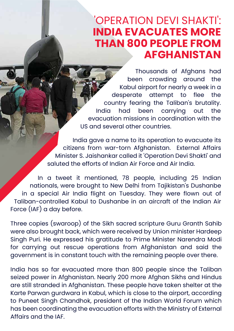#### 'OPERATION DEVI SHAKTI': **INDIA EVACUATES MORE THAN 800 PEOPLE FROM AFGHANISTAN**

Thousands of Afghans had been crowding around the Kabul airport for nearly a week in a desperate attempt to flee the country fearing the Taliban's brutality. India had been carrying out the evacuation missions in coordination with the US and several other countries.

 India gave a name to its operation to evacuate its citizens from war-torn Afghanistan. External Affairs Minister S. Jaishankar called it 'Operation Devi Shakti' and saluted the efforts of Indian Air Force and Air India.

In a tweet it mentioned, 78 people, including 25 Indian nationals, were brought to New Delhi from Tajikistan's Dushanbe in a special Air India flight on Tuesday. They were flown out of Taliban-controlled Kabul to Dushanbe in an aircraft of the Indian Air Force (IAF) a day before.

Three copies (swaroop) of the Sikh sacred scripture Guru Granth Sahib were also brought back, which were received by Union minister Hardeep Singh Puri. He expressed his gratitude to Prime Minister Narendra Modi for carrying out rescue operations from Afghanistan and said the government is in constant touch with the remaining people over there.

India has so far evacuated more than 800 people since the Taliban seized power in Afghanistan. Nearly 200 more Afghan Sikhs and Hindus are still stranded in Afghanistan. These people have taken shelter at the Karte Parwan gurdwara in Kabul, which is close to the airport, according to Puneet Singh Chandhok, president of the Indian World Forum which has been coordinating the evacuation efforts with the Ministry of External Affairs and the IAF.